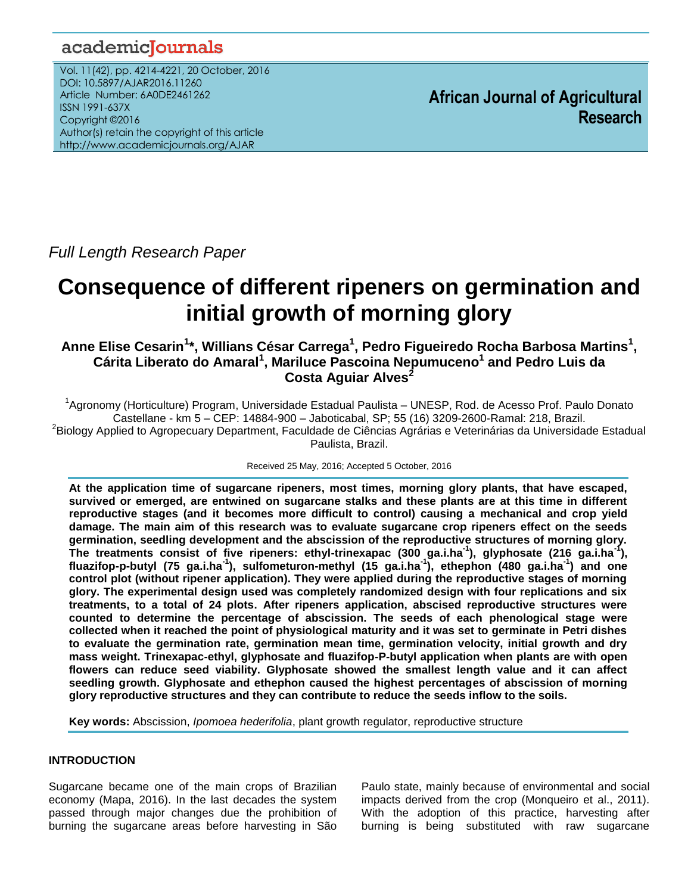# academiclournals

Vol. 11(42), pp. 4214-4221, 20 October, 2016 DOI: 10.5897/AJAR2016.11260 Article Number: 6A0DE2461262 ISSN 1991-637X Copyright ©2016 Author(s) retain the copyright of this article http://www.academicjournals.org/AJAR

**African Journal of Agricultural Research**

*Full Length Research Paper*

# **Consequence of different ripeners on germination and initial growth of morning glory**

**Anne Elise Cesarin<sup>1</sup> \*, Willians César Carrega<sup>1</sup> , Pedro Figueiredo Rocha Barbosa Martins<sup>1</sup> , Cárita Liberato do Amaral<sup>1</sup> , Mariluce Pascoina Nepumuceno<sup>1</sup> and Pedro Luis da Costa Aguiar Alves<sup>2</sup>**

<sup>1</sup>Agronomy (Horticulture) Program, Universidade Estadual Paulista – UNESP, Rod. de Acesso Prof. Paulo Donato Castellane - km 5 – CEP: 14884-900 – Jaboticabal, SP; 55 (16) 3209-2600-Ramal: 218, Brazil. <sup>2</sup>Biology Applied to Agropecuary Department, Faculdade de Ciências Agrárias e Veterinárias da Universidade Estadual Paulista, Brazil.

Received 25 May, 2016; Accepted 5 October, 2016

**At the application time of sugarcane ripeners, most times, morning glory plants, that have escaped, survived or emerged, are entwined on sugarcane stalks and these plants are at this time in different reproductive stages (and it becomes more difficult to control) causing a mechanical and crop yield damage. The main aim of this research was to evaluate sugarcane crop ripeners effect on the seeds germination, seedling development and the abscission of the reproductive structures of morning glory. The treatments consist of five ripeners: ethyl-trinexapac (300 ga.i.ha-1 ), glyphosate (216 ga.i.ha-1 ), fluazifop-p-butyl (75 ga.i.ha-1 ), sulfometuron-methyl (15 ga.i.ha-1 ), ethephon (480 ga.i.ha-1 ) and one control plot (without ripener application). They were applied during the reproductive stages of morning glory. The experimental design used was completely randomized design with four replications and six treatments, to a total of 24 plots. After ripeners application, abscised reproductive structures were counted to determine the percentage of abscission. The seeds of each phenological stage were collected when it reached the point of physiological maturity and it was set to germinate in Petri dishes to evaluate the germination rate, germination mean time, germination velocity, initial growth and dry mass weight. Trinexapac-ethyl, glyphosate and fluazifop-P-butyl application when plants are with open flowers can reduce seed viability. Glyphosate showed the smallest length value and it can affect seedling growth. Glyphosate and ethephon caused the highest percentages of abscission of morning glory reproductive structures and they can contribute to reduce the seeds inflow to the soils.**

**Key words:** Abscission, *Ipomoea hederifolia*, plant growth regulator, reproductive structure

# **INTRODUCTION**

Sugarcane became one of the main crops of Brazilian economy (Mapa, 2016). In the last decades the system passed through major changes due the prohibition of burning the sugarcane areas before harvesting in São

Paulo state, mainly because of environmental and social impacts derived from the crop (Monqueiro et al., 2011). With the adoption of this practice, harvesting after burning is being substituted with raw sugarcane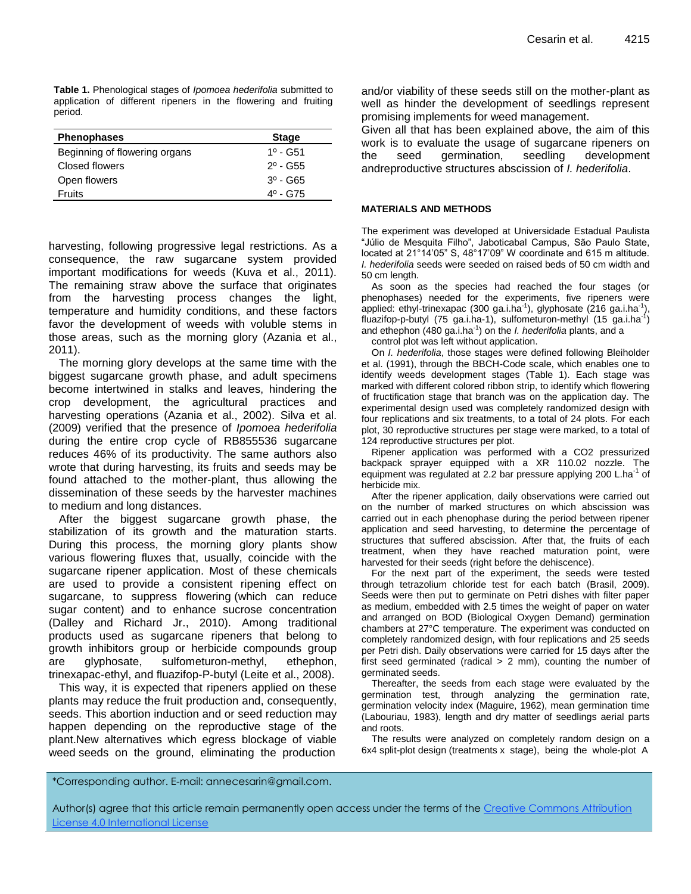**Table 1.** Phenological stages of *Ipomoea hederifolia* submitted to application of different ripeners in the flowering and fruiting period.

| <b>Phenophases</b>            | <b>Stage</b>                  |
|-------------------------------|-------------------------------|
| Beginning of flowering organs | $1^{\circ}$ - G <sub>51</sub> |
| Closed flowers                | $2^{\circ}$ - G <sub>55</sub> |
| Open flowers                  | $3^0 - G65$                   |
| Fruits                        | $4^{\circ}$ - G75             |

harvesting, following progressive legal restrictions. As a consequence, the raw sugarcane system provided important modifications for weeds (Kuva et al., 2011). The remaining straw above the surface that originates from the harvesting process changes the light, temperature and humidity conditions, and these factors favor the development of weeds with voluble stems in those areas, such as the morning glory (Azania et al., 2011).

The morning glory develops at the same time with the biggest sugarcane growth phase, and adult specimens become intertwined in stalks and leaves, hindering the crop development, the agricultural practices and harvesting operations (Azania et al., 2002). Silva et al. (2009) verified that the presence of *Ipomoea hederifolia* during the entire crop cycle of RB855536 sugarcane reduces 46% of its productivity. The same authors also wrote that during harvesting, its fruits and seeds may be found attached to the mother-plant, thus allowing the dissemination of these seeds by the harvester machines to medium and long distances.

After the biggest sugarcane growth phase, the stabilization of its growth and the maturation starts. During this process, the morning glory plants show various flowering fluxes that, usually, coincide with the sugarcane ripener application. Most of these chemicals are used to provide a consistent ripening effect on sugarcane, to suppress flowering (which can reduce sugar content) and to enhance sucrose concentration (Dalley and Richard Jr., 2010). Among traditional products used as sugarcane ripeners that belong to growth inhibitors group or herbicide compounds group are glyphosate, sulfometuron-methyl, ethephon, trinexapac-ethyl, and fluazifop-P-butyl (Leite et al., 2008).

This way, it is expected that ripeners applied on these plants may reduce the fruit production and, consequently, seeds. This abortion induction and or seed reduction may happen depending on the reproductive stage of the plant.New alternatives which egress blockage of viable weed seeds on the ground, eliminating the production

and/or viability of these seeds still on the mother-plant as well as hinder the development of seedlings represent promising implements for weed management.

Given all that has been explained above, the aim of this work is to evaluate the usage of sugarcane ripeners on the seed germination, seedling development andreproductive structures abscission of *I. hederifolia*.

#### **MATERIALS AND METHODS**

The experiment was developed at Universidade Estadual Paulista "Júlio de Mesquita Filho", Jaboticabal Campus, São Paulo State, located at 21°14"05" S, 48°17"09" W coordinate and 615 m altitude. *I. hederifolia* seeds were seeded on raised beds of 50 cm width and 50 cm length.

As soon as the species had reached the four stages (or phenophases) needed for the experiments, five ripeners were applied: ethyl-trinexapac (300 ga.i.ha<sup>-1</sup>), glyphosate (216 ga.i.ha<sup>-1</sup>), fluazifop-p-butyl (75 ga.i.ha-1), sulfometuron-methyl (15 ga.i.ha<sup>-1</sup>) and ethephon (480 ga.i.ha-1 ) on the *I. hederifolia* plants, and a

control plot was left without application.

On *I. hederifolia*, those stages were defined following Bleiholder et al. (1991), through the BBCH-Code scale, which enables one to identify weeds development stages (Table 1). Each stage was marked with different colored ribbon strip, to identify which flowering of fructification stage that branch was on the application day. The experimental design used was completely randomized design with four replications and six treatments, to a total of 24 plots. For each plot, 30 reproductive structures per stage were marked, to a total of 124 reproductive structures per plot.

Ripener application was performed with a CO2 pressurized backpack sprayer equipped with a XR 110.02 nozzle. The equipment was regulated at 2.2 bar pressure applying 200 L.ha<sup>-1</sup> of herbicide mix.

After the ripener application, daily observations were carried out on the number of marked structures on which abscission was carried out in each phenophase during the period between ripener application and seed harvesting, to determine the percentage of structures that suffered abscission. After that, the fruits of each treatment, when they have reached maturation point, were harvested for their seeds (right before the dehiscence).

For the next part of the experiment, the seeds were tested through tetrazolium chloride test for each batch (Brasil, 2009). Seeds were then put to germinate on Petri dishes with filter paper as medium, embedded with 2.5 times the weight of paper on water and arranged on BOD (Biological Oxygen Demand) germination chambers at 27°C temperature. The experiment was conducted on completely randomized design, with four replications and 25 seeds per Petri dish. Daily observations were carried for 15 days after the first seed germinated (radical  $> 2$  mm), counting the number of germinated seeds.

Thereafter, the seeds from each stage were evaluated by the germination test, through analyzing the germination rate, germination velocity index (Maguire, 1962), mean germination time (Labouriau, 1983), length and dry matter of seedlings aerial parts and roots.

The results were analyzed on completely random design on a 6x4 split-plot design (treatments x stage), being the whole-plot A

\*Corresponding author. E-mail: annecesarin@gmail.com.

Author(s) agree that this article remain permanently open access under the terms of th[e Creative Commons Attribution](http://creativecommons.org/licenses/by/4.0/deed.en_US)  [License 4.0 International License](http://creativecommons.org/licenses/by/4.0/deed.en_US)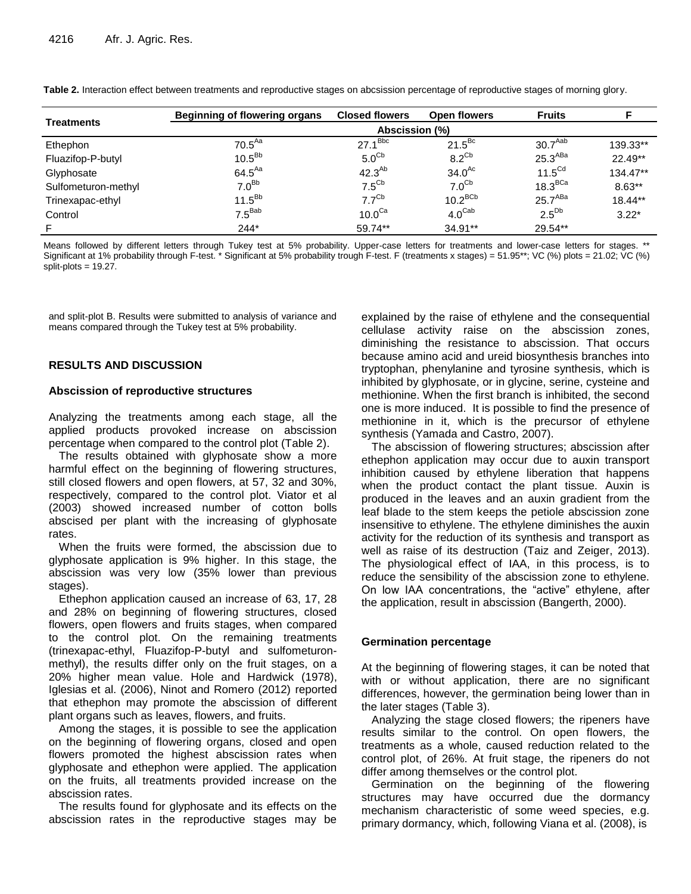| <b>Treatments</b>   | <b>Beginning of flowering organs</b> | <b>Closed flowers</b> | Open flowers       | <b>Fruits</b>       |           |  |  |
|---------------------|--------------------------------------|-----------------------|--------------------|---------------------|-----------|--|--|
|                     |                                      | Abscission (%)        |                    |                     |           |  |  |
| Ethephon            | 70.5 <sup>Aa</sup>                   | $27.1^{Bbc}$          | $21.5^{Bc}$        | 30.7 <sup>Aab</sup> | 139.33**  |  |  |
| Fluazifop-P-butyl   | $10.5^{Bb}$                          | 5.0 <sup>cb</sup>     | $8.2^\text{Cb}$    | 25.3 <sup>ABa</sup> | $22.49**$ |  |  |
| Glyphosate          | $64.5^{Aa}$                          | $42.3^{Ab}$           | $34.0^{Ac}$        | $11.5^{\text{Cd}}$  | 134.47**  |  |  |
| Sulfometuron-methyl | 7.0 <sup>Bb</sup>                    | $7.5^{\text{Cb}}$     | 7.0 <sup>cb</sup>  | 18.3 <sup>BCa</sup> | $8.63**$  |  |  |
| Trinexapac-ethyl    | $11.5^{Bb}$                          | 7.7 <sup>Cb</sup>     | $10.2^{BCb}$       | 25.7 <sup>ABa</sup> | $18.44**$ |  |  |
| Control             | $7.5^{Bab}$                          | $10.0^\text{Ca}$      | $4.0^{\text{Cab}}$ | $2.5^{Db}$          | $3.22*$   |  |  |
| F                   | $244*$                               | 59.74**               | $34.91**$          | 29.54**             |           |  |  |

**Table 2.** Interaction effect between treatments and reproductive stages on abcsission percentage of reproductive stages of morning glory.

Means followed by different letters through Tukey test at 5% probability. Upper-case letters for treatments and lower-case letters for stages. \*\* Significant at 1% probability through F-test. \* Significant at 5% probability trough F-test. F (treatments x stages) = 51.95\*\*; VC (%) plots = 21.02; VC (%)  $split-plots = 19.27$ .

and split-plot B. Results were submitted to analysis of variance and means compared through the Tukey test at 5% probability.

# **RESULTS AND DISCUSSION**

#### **Abscission of reproductive structures**

Analyzing the treatments among each stage, all the applied products provoked increase on abscission percentage when compared to the control plot (Table 2).

The results obtained with glyphosate show a more harmful effect on the beginning of flowering structures, still closed flowers and open flowers, at 57, 32 and 30%, respectively, compared to the control plot. Viator et al (2003) showed increased number of cotton bolls abscised per plant with the increasing of glyphosate rates.

When the fruits were formed, the abscission due to glyphosate application is 9% higher. In this stage, the abscission was very low (35% lower than previous stages).

Ethephon application caused an increase of 63, 17, 28 and 28% on beginning of flowering structures, closed flowers, open flowers and fruits stages, when compared to the control plot. On the remaining treatments (trinexapac-ethyl, Fluazifop-P-butyl and sulfometuronmethyl), the results differ only on the fruit stages, on a 20% higher mean value. Hole and Hardwick [\(1978\)](http://www.ncbi.nlm.nih.gov/pmc/articles/PMC4609533/#B16), Iglesias et al. (2006), Ninot and Romero (2012) reported that ethephon may promote the abscission of different plant organs such as leaves, flowers, and fruits.

Among the stages, it is possible to see the application on the beginning of flowering organs, closed and open flowers promoted the highest abscission rates when glyphosate and ethephon were applied. The application on the fruits, all treatments provided increase on the abscission rates.

The results found for glyphosate and its effects on the abscission rates in the reproductive stages may be explained by the raise of ethylene and the consequential cellulase activity raise on the abscission zones, diminishing the resistance to abscission. That occurs because amino acid and ureid biosynthesis branches into tryptophan, phenylanine and tyrosine synthesis, which is inhibited by glyphosate, or in glycine, serine, cysteine and methionine. When the first branch is inhibited, the second one is more induced. It is possible to find the presence of methionine in it, which is the precursor of ethylene synthesis (Yamada and Castro, 2007).

The abscission of flowering structures; abscission after ethephon application may occur due to auxin transport inhibition caused by ethylene liberation that happens when the product contact the plant tissue. Auxin is produced in the leaves and an auxin gradient from the leaf blade to the stem keeps the petiole abscission zone insensitive to ethylene. The ethylene diminishes the auxin activity for the reduction of its synthesis and transport as well as raise of its destruction (Taiz and Zeiger, 2013). The physiological effect of IAA, in this process, is to reduce the sensibility of the abscission zone to ethylene. On low IAA concentrations, the "active" ethylene, after the application, result in abscission (Bangerth, 2000).

# **Germination percentage**

At the beginning of flowering stages, it can be noted that with or without application, there are no significant differences, however, the germination being lower than in the later stages (Table 3).

Analyzing the stage closed flowers; the ripeners have results similar to the control. On open flowers, the treatments as a whole, caused reduction related to the control plot, of 26%. At fruit stage, the ripeners do not differ among themselves or the control plot.

Germination on the beginning of the flowering structures may have occurred due the dormancy mechanism characteristic of some weed species, e.g. primary dormancy, which, following Viana et al. (2008), is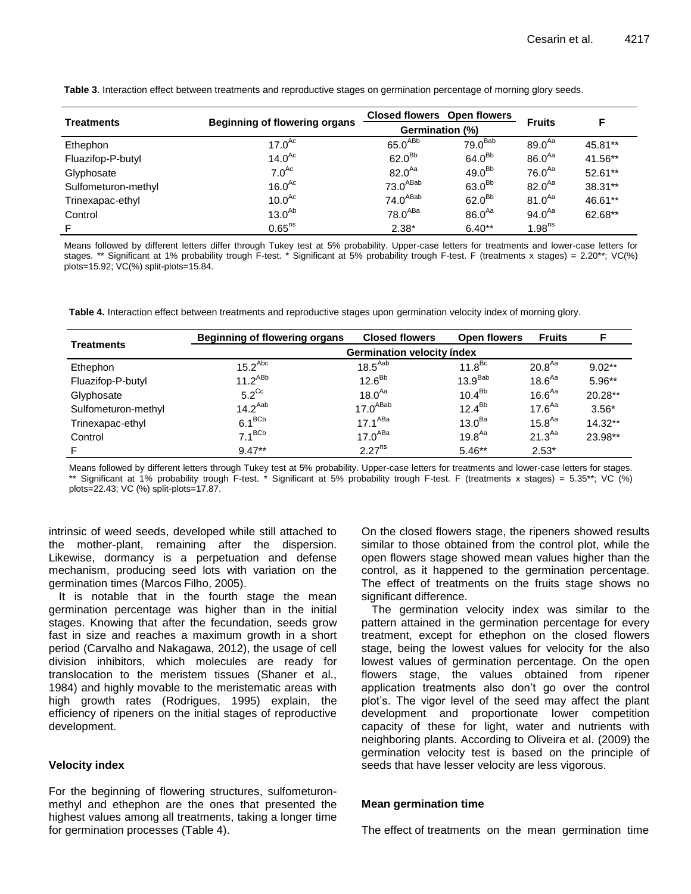|                     |                                      |                       | <b>Closed flowers</b> Open flowers |                    |           |
|---------------------|--------------------------------------|-----------------------|------------------------------------|--------------------|-----------|
| <b>Treatments</b>   | <b>Beginning of flowering organs</b> | Germination (%)       |                                    | <b>Fruits</b>      | F.        |
| Ethephon            | $17.0^{Ac}$                          | $65.0^{ABb}$          | 79.0 <sup>Bab</sup>                | $89.0^{Aa}$        | 45.81**   |
| Fluazifop-P-butyl   | 14.0 <sup>Ac</sup>                   | $62.0^{Bb}$           | $64.0^{Bb}$                        | $86.0^{Aa}$        | 41.56**   |
| Glyphosate          | 7.0 <sup>Ac</sup>                    | $82.0^{Aa}$           | $49.0^{Bb}$                        | $76.0^{Aa}$        | $52.61**$ |
| Sulfometuron-methyl | $16.0^{Ac}$                          | $73.0^{\sf A Bab}$    | $63.0^{Bb}$                        | $82.0^{Aa}$        | 38.31**   |
| Trinexapac-ethyl    | 10.0 <sup>Ac</sup>                   | 74.0 <sup>ABab</sup>  | $62.0^{Bb}$                        | $81.0^{Aa}$        | 46.61**   |
| Control             | $13.0^{Ab}$                          | $78.0$ <sup>ABa</sup> | $86.0^{Aa}$                        | $94.0^{Aa}$        | 62.68**   |
| F                   | $0.65$ <sup>ns</sup>                 | $2.38*$               | $6.40**$                           | 1.98 <sup>ns</sup> |           |

**Table 3**. Interaction effect between treatments and reproductive stages on germination percentage of morning glory seeds.

Means followed by different letters differ through Tukey test at 5% probability. Upper-case letters for treatments and lower-case letters for stages. \*\* Significant at 1% probability trough F-test. \* Significant at 5% probability trough F-test. F (treatments x stages) = 2.20\*\*; VC(%) plots=15.92; VC(%) split-plots=15.84.

**Table 4.** Interaction effect between treatments and reproductive stages upon germination velocity index of morning glory.

| <b>Treatments</b>   | Beginning of flowering organs | <b>Closed flowers</b> | Open flowers        | <b>Fruits</b>      | F         |  |
|---------------------|-------------------------------|-----------------------|---------------------|--------------------|-----------|--|
|                     | Germination velocity index    |                       |                     |                    |           |  |
| Ethephon            | $15.2$ <sup>Abc</sup>         | $18.5^{Aab}$          | 11.8 <sup>BC</sup>  | $20.8^{Aa}$        | $9.02***$ |  |
| Fluazifop-P-butyl   | $11.2^{ABb}$                  | $12.6^{Bb}$           | 13.9 <sup>Bab</sup> | 18.6 <sup>Aa</sup> | $5.96**$  |  |
| Glyphosate          | $5.2^{\text{Cc}}$             | $18.0^{Aa}$           | 10.4 <sup>Bb</sup>  | 16.6 <sup>Aa</sup> | $20.28**$ |  |
| Sulfometuron-methyl | $14.2^{Aab}$                  | 17.0 <sup>ABab</sup>  | $12.4^{Bb}$         | $17.6^{Aa}$        | $3.56*$   |  |
| Trinexapac-ethyl    | $6.1^{BCb}$                   | $17.1^{ABa}$          | 13.0 <sup>Ba</sup>  | 15.8 <sup>Aa</sup> | $14.32**$ |  |
| Control             | $7.1^{BCb}$                   | 17.0 <sup>ABa</sup>   | 19.8 <sup>Aa</sup>  | $21.3^{Aa}$        | 23.98**   |  |
|                     | $9.47**$                      | $2.27^{ns}$           | $5.46**$            | $2.53*$            |           |  |

Means followed by different letters through Tukey test at 5% probability. Upper-case letters for treatments and lower-case letters for stages. \*\* Significant at 1% probability trough F-test. \* Significant at 5% probability trough F-test. F (treatments x stages) = 5.35\*\*; VC (%) plots=22.43; VC (%) split-plots=17.87.

intrinsic of weed seeds, developed while still attached to the mother-plant, remaining after the dispersion. Likewise, dormancy is a perpetuation and defense mechanism, producing seed lots with variation on the germination times (Marcos Filho, 2005).

It is notable that in the fourth stage the mean germination percentage was higher than in the initial stages. Knowing that after the fecundation, seeds grow fast in size and reaches a maximum growth in a short period (Carvalho and Nakagawa, 2012), the usage of cell division inhibitors, which molecules are ready for translocation to the meristem tissues (Shaner et al., 1984) and highly movable to the meristematic areas with high growth rates (Rodrigues, 1995) explain, the efficiency of ripeners on the initial stages of reproductive development.

# **Velocity index**

For the beginning of flowering structures, sulfometuronmethyl and ethephon are the ones that presented the highest values among all treatments, taking a longer time for germination processes (Table 4).

On the closed flowers stage, the ripeners showed results similar to those obtained from the control plot, while the open flowers stage showed mean values higher than the control, as it happened to the germination percentage. The effect of treatments on the fruits stage shows no significant difference.

The germination velocity index was similar to the pattern attained in the germination percentage for every treatment, except for ethephon on the closed flowers stage, being the lowest values for velocity for the also lowest values of germination percentage. On the open flowers stage, the values obtained from ripener application treatments also don"t go over the control plot"s. The vigor level of the seed may affect the plant development and proportionate lower competition capacity of these for light, water and nutrients with neighboring plants. According to Oliveira et al. (2009) the germination velocity test is based on the principle of seeds that have lesser velocity are less vigorous.

#### **Mean germination time**

The effect of treatments on the mean germination time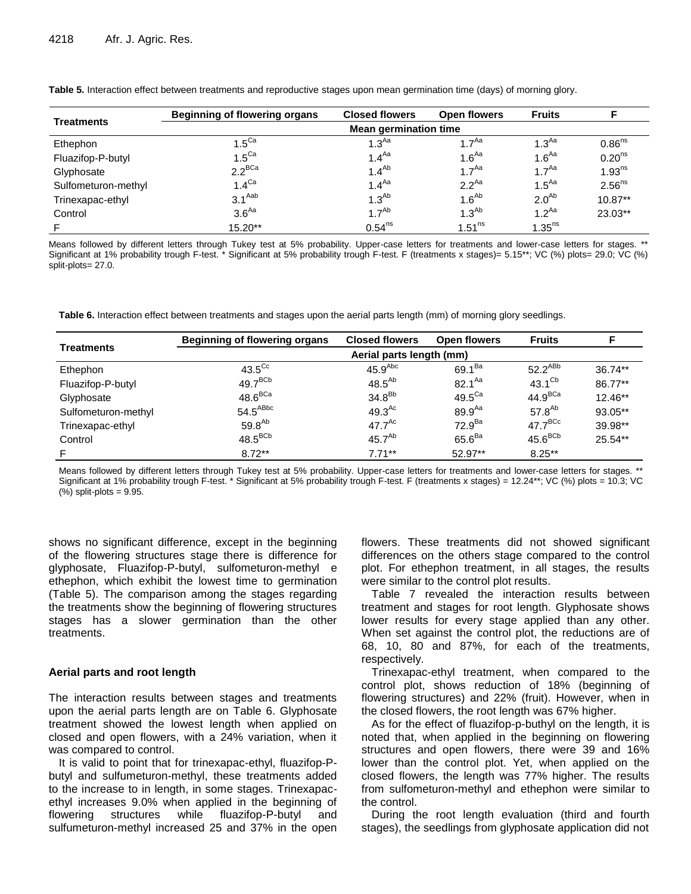| <b>Treatments</b>   | <b>Beginning of flowering organs</b> | <b>Closed flowers</b> | Open flowers         | <b>Fruits</b>        |                    |  |
|---------------------|--------------------------------------|-----------------------|----------------------|----------------------|--------------------|--|
|                     | <b>Mean germination time</b>         |                       |                      |                      |                    |  |
| Ethephon            | $1.5^\text{Ca}$                      | 1.3 <sup>Aa</sup>     | 1.7 <sup>Aa</sup>    | 1.3 <sup>Aa</sup>    | 0.86 <sup>ns</sup> |  |
| Fluazifop-P-butyl   | $1.5^\text{Ca}$                      | 1.4 <sup>Aa</sup>     | 1.6 <sup>Aa</sup>    | 1.6 <sup>Aa</sup>    | 0.20 <sup>ns</sup> |  |
| Glyphosate          | $2.2^{BCa}$                          | $1.4^{Ab}$            | 1.7 <sup>Aa</sup>    | 1 $7^{Aa}$           | 1.93 <sup>ns</sup> |  |
| Sulfometuron-methyl | $1.4^\text{Ca}$                      | 1.4 <sup>Aa</sup>     | $2.2^{Aa}$           | 1.5 <sup>Aa</sup>    | 2.56 <sup>ns</sup> |  |
| Trinexapac-ethyl    | $3.1^{Aab}$                          | $1.3^{Ab}$            | $1.6^{Ab}$           | 2.0 <sup>Ab</sup>    | $10.87**$          |  |
| Control             | 3.6 <sup>Aa</sup>                    | 1.7 <sup>Ab</sup>     | $1.3^{Ab}$           | 1.2 <sup>Aa</sup>    | 23.03**            |  |
|                     | $15.20**$                            | 0.54 <sup>ns</sup>    | $1.51$ <sup>ns</sup> | $1.35$ <sup>ns</sup> |                    |  |

**Table 5.** Interaction effect between treatments and reproductive stages upon mean germination time (days) of morning glory.

Means followed by different letters through Tukey test at 5% probability. Upper-case letters for treatments and lower-case letters for stages. \*\* Significant at 1% probability trough F-test. \* Significant at 5% probability trough F-test. F (treatments x stages)= 5.15\*\*; VC (%) plots= 29.0; VC (%) split-plots= 27.0.

**Table 6.** Interaction effect between treatments and stages upon the aerial parts length (mm) of morning glory seedlings.

| <b>Treatments</b>   | <b>Beginning of flowering organs</b> | <b>Closed flowers</b> | Open flowers     | <b>Fruits</b>       |           |  |
|---------------------|--------------------------------------|-----------------------|------------------|---------------------|-----------|--|
|                     | Aerial parts length (mm)             |                       |                  |                     |           |  |
| Ethephon            | $43.5^{\text{Cc}}$                   | 45.9 <sup>Abc</sup>   | $69.1^{Ba}$      | $52.2^{ABb}$        | $36.74**$ |  |
| Fluazifop-P-butyl   | $49.7^{BCb}$                         | $48.5^{Ab}$           | $82.1^{Aa}$      | $43.1^\text{Cb}$    | 86.77**   |  |
| Glyphosate          | $48.6^{BCa}$                         | 34.8 <sup>Bb</sup>    | $49.5^\text{Ca}$ | 44.9 <sup>BCa</sup> | $12.46**$ |  |
| Sulfometuron-methyl | $54.5^{ABbc}$                        | $49.3^{Ac}$           | $89.9^{Aa}$      | 57.8 $^{Ab}$        | 93.05**   |  |
| Trinexapac-ethyl    | $59.8^{Ab}$                          | $47.7^{Ac}$           | $72.9^{Ba}$      | $47.7^{BCc}$        | 39.98**   |  |
| Control             | $48.5^{BCb}$                         | 45.7 <sup>Ab</sup>    | $65.6^{Ba}$      | $45.6^{BCb}$        | $25.54**$ |  |
|                     | $8.72***$                            | $7.71***$             | 52.97**          | $8.25***$           |           |  |

Means followed by different letters through Tukey test at 5% probability. Upper-case letters for treatments and lower-case letters for stages. \*\* Significant at 1% probability trough F-test. \* Significant at 5% probability trough F-test. F (treatments x stages) = 12.24\*\*; VC (%) plots = 10.3; VC  $(\%)$  split-plots = 9.95.

shows no significant difference, except in the beginning of the flowering structures stage there is difference for glyphosate, Fluazifop-P-butyl, sulfometuron-methyl e ethephon, which exhibit the lowest time to germination (Table 5). The comparison among the stages regarding the treatments show the beginning of flowering structures stages has a slower germination than the other treatments.

#### **Aerial parts and root length**

The interaction results between stages and treatments upon the aerial parts length are on Table 6. Glyphosate treatment showed the lowest length when applied on closed and open flowers, with a 24% variation, when it was compared to control.

It is valid to point that for trinexapac-ethyl, fluazifop-Pbutyl and sulfumeturon-methyl, these treatments added to the increase to in length, in some stages. Trinexapacethyl increases 9.0% when applied in the beginning of flowering structures while fluazifop-P-butyl and sulfumeturon-methyl increased 25 and 37% in the open flowers. These treatments did not showed significant differences on the others stage compared to the control plot. For ethephon treatment, in all stages, the results were similar to the control plot results.

Table 7 revealed the interaction results between treatment and stages for root length. Glyphosate shows lower results for every stage applied than any other. When set against the control plot, the reductions are of 68, 10, 80 and 87%, for each of the treatments, respectively.

Trinexapac-ethyl treatment, when compared to the control plot, shows reduction of 18% (beginning of flowering structures) and 22% (fruit). However, when in the closed flowers, the root length was 67% higher.

As for the effect of fluazifop-p-buthyl on the length, it is noted that, when applied in the beginning on flowering structures and open flowers, there were 39 and 16% lower than the control plot. Yet, when applied on the closed flowers, the length was 77% higher. The results from sulfometuron-methyl and ethephon were similar to the control.

During the root length evaluation (third and fourth stages), the seedlings from glyphosate application did not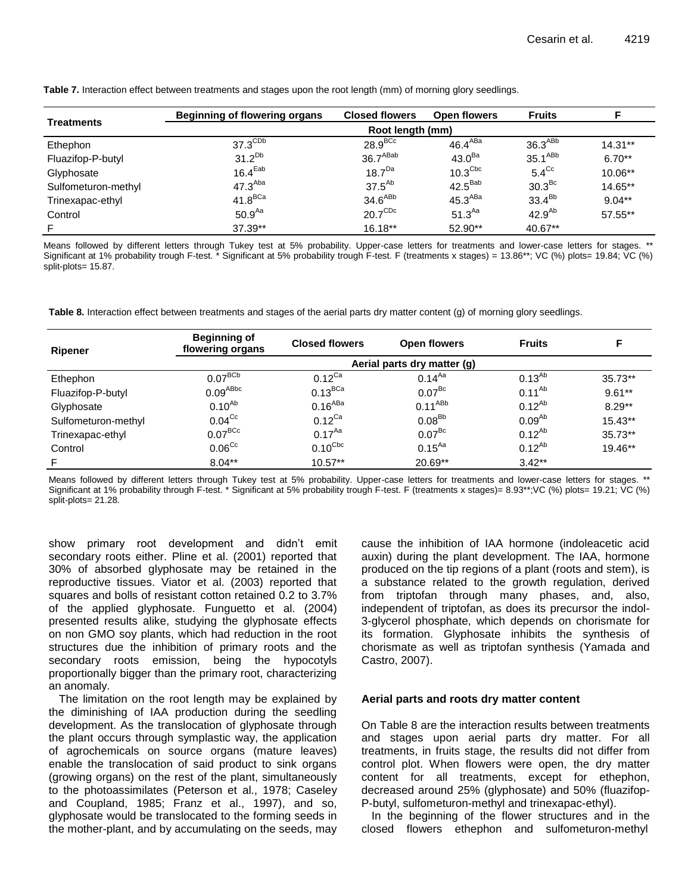| Treatments          | Beginning of flowering organs | <b>Closed flowers</b> | Open flowers        | <b>Fruits</b>       |           |  |  |
|---------------------|-------------------------------|-----------------------|---------------------|---------------------|-----------|--|--|
|                     |                               | Root length (mm)      |                     |                     |           |  |  |
| Ethephon            | $37.3^{\text{CDb}}$           | $28.9^{BCC}$          | $46.4^{ABa}$        | 36.3 <sup>ABB</sup> | $14.31**$ |  |  |
| Fluazifop-P-butyl   | $31.2^{Db}$                   | 36.7 <sup>ABab</sup>  | 43.0 <sup>Ba</sup>  | $35.1^{ABb}$        | $6.70**$  |  |  |
| Glyphosate          | 16.4 <sup>Eab</sup>           | 18.7 <sup>Da</sup>    | $10.3^{\text{Cbc}}$ | $5.4^{\text{Cc}}$   | $10.06**$ |  |  |
| Sulfometuron-methyl | 47.3 <sup>Aba</sup>           | $37.5^{Ab}$           | $42.5^{Bab}$        | 30.3 <sup>BC</sup>  | 14.65**   |  |  |
| Trinexapac-ethyl    | $41.8$ <sup>BCa</sup>         | 34.6 <sup>ABb</sup>   | $45.3^{ABa}$        | $33.4^{Bb}$         | $9.04***$ |  |  |
| Control             | 50.9 <sup>Aa</sup>            | $20.7^{\text{CDc}}$   | $51.3^{Aa}$         | $42.9^{Ab}$         | 57.55**   |  |  |
| F                   | $37.39**$                     | $16.18**$             | $52.90**$           | 40.67**             |           |  |  |

**Table 7.** Interaction effect between treatments and stages upon the root length (mm) of morning glory seedlings.

Means followed by different letters through Tukey test at 5% probability. Upper-case letters for treatments and lower-case letters for stages. \*\* Significant at 1% probability trough F-test. \* Significant at 5% probability trough F-test. F (treatments x stages) = 13.86\*\*; VC (%) plots= 19.84; VC (%) split-plots= 15.87.

**Table 8.** Interaction effect between treatments and stages of the aerial parts dry matter content (g) of morning glory seedlings.

| <b>Ripener</b>      | <b>Beginning of</b><br>flowering organs | <b>Closed flowers</b> | Open flowers       | <b>Fruits</b> |           |  |  |
|---------------------|-----------------------------------------|-----------------------|--------------------|---------------|-----------|--|--|
|                     | Aerial parts dry matter (g)             |                       |                    |               |           |  |  |
| Ethephon            | $0.07^{BCb}$                            | $0.12$ <sup>Ca</sup>  | $0.14^{Aa}$        | $0.13^{Ab}$   | $35.73**$ |  |  |
| Fluazifop-P-butyl   | $0.09$ <sup>ABbc</sup>                  | $0.13^{BCa}$          | $0.07^{Bc}$        | $0.11^{Ab}$   | $9.61***$ |  |  |
| Glyphosate          | $0.10^{Ab}$                             | $0.16^{ABa}$          | $0.11^{ABb}$       | $0.12^{Ab}$   | $8.29**$  |  |  |
| Sulfometuron-methyl | 0.04 <sup>CC</sup>                      | $0.12$ <sup>Ca</sup>  | 0.08 <sup>Bb</sup> | $0.09^{Ab}$   | $15.43**$ |  |  |
| Trinexapac-ethyl    | $0.07^{BCC}$                            | $0.17^{Aa}$           | 0.07 <sup>BC</sup> | $0.12^{Ab}$   | $35.73**$ |  |  |
| Control             | 0.06 <sup>CC</sup>                      | $0.10^{\text{Cbc}}$   | $0.15^{Aa}$        | $0.12^{Ab}$   | $19.46**$ |  |  |
| F.                  | $8.04***$                               | $10.57**$             | 20.69**            | $3.42**$      |           |  |  |

Means followed by different letters through Tukey test at 5% probability. Upper-case letters for treatments and lower-case letters for stages. \*\* Significant at 1% probability through F-test. \* Significant at 5% probability trough F-test. F (treatments x stages)= 8.93\*\*;VC (%) plots= 19.21; VC (%) split-plots= 21.28.

show primary root development and didn't emit secondary roots either. Pline et al. (2001) reported that 30% of absorbed glyphosate may be retained in the reproductive tissues. Viator et al. (2003) reported that squares and bolls of resistant cotton retained 0.2 to 3.7% of the applied glyphosate. Funguetto et al. (2004) presented results alike, studying the glyphosate effects on non GMO soy plants, which had reduction in the root structures due the inhibition of primary roots and the secondary roots emission, being the hypocotyls proportionally bigger than the primary root, characterizing an anomaly.

The limitation on the root length may be explained by the diminishing of IAA production during the seedling development. As the translocation of glyphosate through the plant occurs through symplastic way, the application of agrochemicals on source organs (mature leaves) enable the translocation of said product to sink organs (growing organs) on the rest of the plant, simultaneously to the photoassimilates (Peterson et al., 1978; Caseley and Coupland, 1985; Franz et al., 1997), and so, glyphosate would be translocated to the forming seeds in the mother-plant, and by accumulating on the seeds, may

cause the inhibition of IAA hormone (indoleacetic acid auxin) during the plant development. The IAA, hormone produced on the tip regions of a plant (roots and stem), is a substance related to the growth regulation, derived from triptofan through many phases, and, also, independent of triptofan, as does its precursor the indol-3-glycerol phosphate, which depends on chorismate for its formation. Glyphosate inhibits the synthesis of chorismate as well as triptofan synthesis (Yamada and Castro, 2007).

# **Aerial parts and roots dry matter content**

On Table 8 are the interaction results between treatments and stages upon aerial parts dry matter. For all treatments, in fruits stage, the results did not differ from control plot. When flowers were open, the dry matter content for all treatments, except for ethephon, decreased around 25% (glyphosate) and 50% (fluazifop-P-butyl, sulfometuron-methyl and trinexapac-ethyl).

In the beginning of the flower structures and in the closed flowers ethephon and sulfometuron-methyl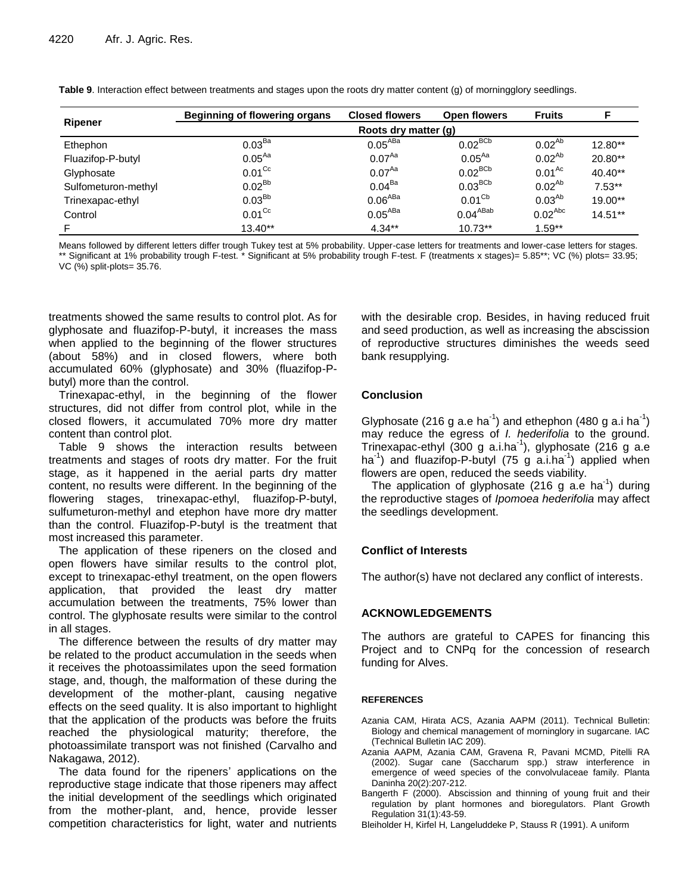| <b>Ripener</b>      | <b>Beginning of flowering organs</b> | <b>Closed flowers</b> | Open flowers       | <b>Fruits</b> |           |
|---------------------|--------------------------------------|-----------------------|--------------------|---------------|-----------|
|                     | Roots dry matter (g)                 |                       |                    |               |           |
| Ethephon            | 0.03 <sup>Ba</sup>                   | 0.05 <sup>ABa</sup>   | $0.02^{BCb}$       | $0.02^{Ab}$   | $12.80**$ |
| Fluazifop-P-butyl   | $0.05^{Aa}$                          | $0.07^{Aa}$           | $0.05^{Aa}$        | $0.02^{Ab}$   | $20.80**$ |
| Glyphosate          | $0.01^\text{Cc}$                     | $0.07^{Aa}$           | $0.02^{BCb}$       | $0.01^{Ac}$   | $40.40**$ |
| Sulfometuron-methyl | $0.02^{Bb}$                          | $0.04^{Ba}$           | $0.03^{BCb}$       | $0.02^{Ab}$   | $7.53**$  |
| Trinexapac-ethyl    | 0.03 <sup>Bb</sup>                   | 0.06 <sup>ABA</sup>   | 0.01 <sup>Cb</sup> | $0.03^{Ab}$   | $19.00**$ |
| Control             | $0.01^\text{Cc}$                     | 0.05 <sup>ABA</sup>   | $0.04^{ABab}$      | $0.02^{Abc}$  | $14.51**$ |
| F                   | $13.40**$                            | $4.34***$             | $10.73**$          | $1.59**$      |           |

**Table 9**. Interaction effect between treatments and stages upon the roots dry matter content (g) of morningglory seedlings.

Means followed by different letters differ trough Tukey test at 5% probability. Upper-case letters for treatments and lower-case letters for stages. \*\* Significant at 1% probability trough F-test. \* Significant at 5% probability trough F-test. F (treatments x stages)= 5.85\*\*; VC (%) plots= 33.95; VC (%) split-plots= 35.76.

treatments showed the same results to control plot. As for glyphosate and fluazifop-P-butyl, it increases the mass when applied to the beginning of the flower structures (about 58%) and in closed flowers, where both accumulated 60% (glyphosate) and 30% (fluazifop-Pbutyl) more than the control.

Trinexapac-ethyl, in the beginning of the flower structures, did not differ from control plot, while in the closed flowers, it accumulated 70% more dry matter content than control plot.

Table 9 shows the interaction results between treatments and stages of roots dry matter. For the fruit stage, as it happened in the aerial parts dry matter content, no results were different. In the beginning of the flowering stages, trinexapac-ethyl, fluazifop-P-butyl, sulfumeturon-methyl and etephon have more dry matter than the control. Fluazifop-P-butyl is the treatment that most increased this parameter.

The application of these ripeners on the closed and open flowers have similar results to the control plot, except to trinexapac-ethyl treatment, on the open flowers application, that provided the least dry matter accumulation between the treatments, 75% lower than control. The glyphosate results were similar to the control in all stages.

The difference between the results of dry matter may be related to the product accumulation in the seeds when it receives the photoassimilates upon the seed formation stage, and, though, the malformation of these during the development of the mother-plant, causing negative effects on the seed quality. It is also important to highlight that the application of the products was before the fruits reached the physiological maturity; therefore, the photoassimilate transport was not finished (Carvalho and Nakagawa, 2012).

The data found for the ripeners' applications on the reproductive stage indicate that those ripeners may affect the initial development of the seedlings which originated from the mother-plant, and, hence, provide lesser competition characteristics for light, water and nutrients

with the desirable crop. Besides, in having reduced fruit and seed production, as well as increasing the abscission of reproductive structures diminishes the weeds seed bank resupplying.

# **Conclusion**

Glyphosate (216 g a.e ha<sup>-1</sup>) and ethephon (480 g a.i ha<sup>-1</sup>) may reduce the egress of *I. hederifolia* to the ground. Trinexapac-ethyl (300 g a.i.ha<sup>-1</sup>), glyphosate (216 g a.e ha<sup>-1</sup>) and fluazifop-P-butyl (75 g a.i.ha<sup>-1</sup>) applied when flowers are open, reduced the seeds viability.

The application of glyphosate (216 g a.e ha<sup>-1</sup>) during the reproductive stages of *Ipomoea hederifolia* may affect the seedlings development.

# **Conflict of Interests**

The author(s) have not declared any conflict of interests.

# **ACKNOWLEDGEMENTS**

The authors are grateful to CAPES for financing this Project and to CNPq for the concession of research funding for Alves.

# **REFERENCES**

- Azania CAM, Hirata ACS, Azania AAPM (2011). Technical Bulletin: Biology and chemical management of morninglory in sugarcane. IAC (Technical Bulletin IAC 209).
- Azania AAPM, Azania CAM, Gravena R, Pavani MCMD, Pitelli RA (2002). Sugar cane (Saccharum spp.) straw interference in emergence of weed species of the convolvulaceae family. Planta Daninha 20(2):207-212.
- Bangerth F (2000). Abscission and thinning of young fruit and their regulation by plant hormones and bioregulators. Plant Growth Regulation 31(1):43-59.
- Bleiholder H, Kirfel H, Langeluddeke P, Stauss R (1991). A uniform